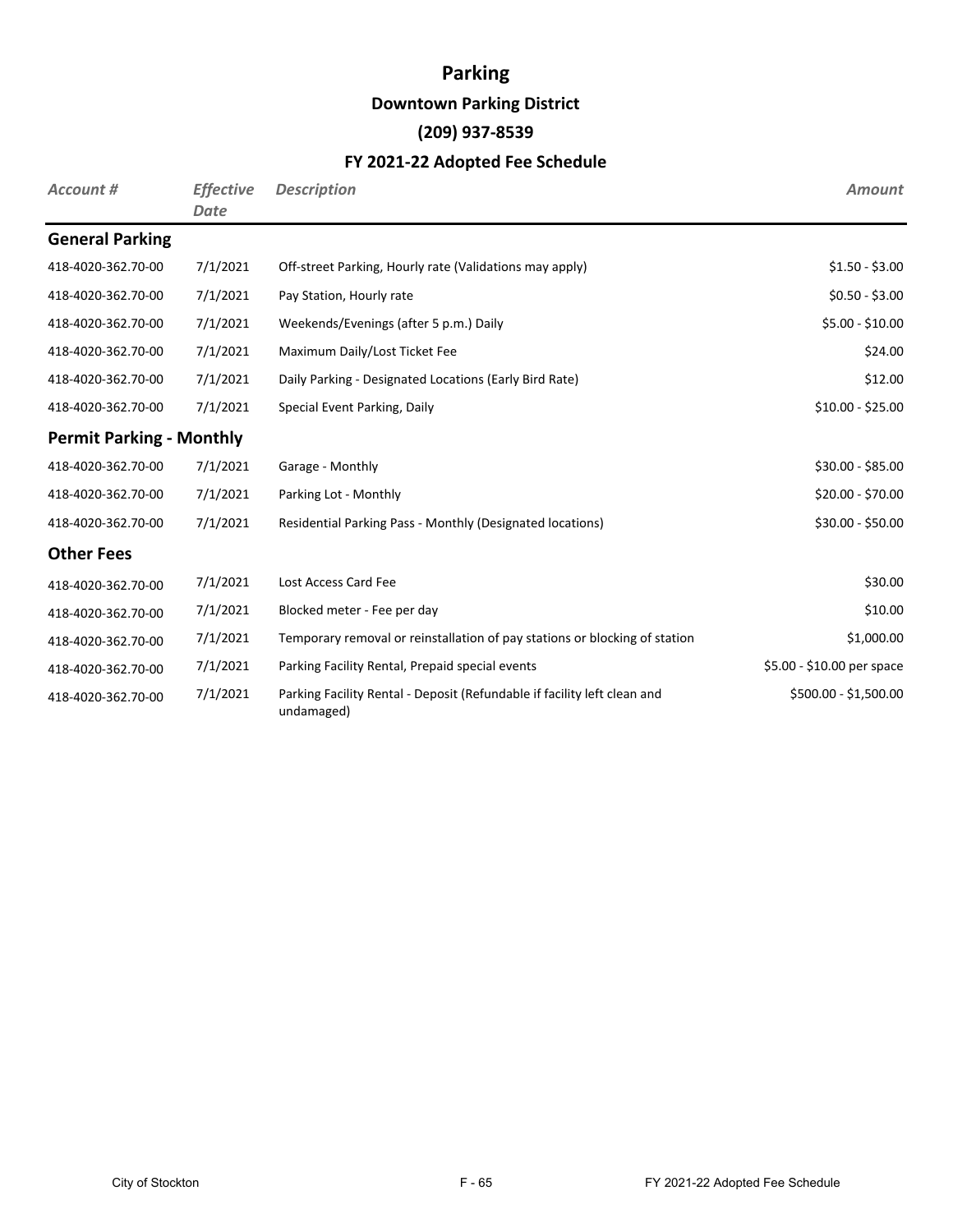## **Parking**

### **Downtown Parking District**

## **(209) 937-8539**

### **FY 2021-22 Adopted Fee Schedule**

| Account #                       | <b>Effective</b><br>Date | <b>Description</b>                                                                     | <b>Amount</b>              |
|---------------------------------|--------------------------|----------------------------------------------------------------------------------------|----------------------------|
| <b>General Parking</b>          |                          |                                                                                        |                            |
| 418-4020-362.70-00              | 7/1/2021                 | Off-street Parking, Hourly rate (Validations may apply)                                | $$1.50 - $3.00$            |
| 418-4020-362.70-00              | 7/1/2021                 | Pay Station, Hourly rate                                                               | $$0.50 - $3.00$            |
| 418-4020-362.70-00              | 7/1/2021                 | Weekends/Evenings (after 5 p.m.) Daily                                                 | \$5.00 - \$10.00           |
| 418-4020-362.70-00              | 7/1/2021                 | Maximum Daily/Lost Ticket Fee                                                          | \$24.00                    |
| 418-4020-362.70-00              | 7/1/2021                 | Daily Parking - Designated Locations (Early Bird Rate)                                 | \$12.00                    |
| 418-4020-362.70-00              | 7/1/2021                 | Special Event Parking, Daily                                                           | $$10.00 - $25.00$          |
| <b>Permit Parking - Monthly</b> |                          |                                                                                        |                            |
| 418-4020-362.70-00              | 7/1/2021                 | Garage - Monthly                                                                       | $$30.00 - $85.00$          |
| 418-4020-362.70-00              | 7/1/2021                 | Parking Lot - Monthly                                                                  | \$20.00 - \$70.00          |
| 418-4020-362.70-00              | 7/1/2021                 | Residential Parking Pass - Monthly (Designated locations)                              | \$30.00 - \$50.00          |
| <b>Other Fees</b>               |                          |                                                                                        |                            |
| 418-4020-362.70-00              | 7/1/2021                 | Lost Access Card Fee                                                                   | \$30.00                    |
| 418-4020-362.70-00              | 7/1/2021                 | Blocked meter - Fee per day                                                            | \$10.00                    |
| 418-4020-362.70-00              | 7/1/2021                 | Temporary removal or reinstallation of pay stations or blocking of station             | \$1,000.00                 |
| 418-4020-362.70-00              | 7/1/2021                 | Parking Facility Rental, Prepaid special events                                        | \$5.00 - \$10.00 per space |
| 418-4020-362.70-00              | 7/1/2021                 | Parking Facility Rental - Deposit (Refundable if facility left clean and<br>undamaged) | \$500.00 - \$1,500.00      |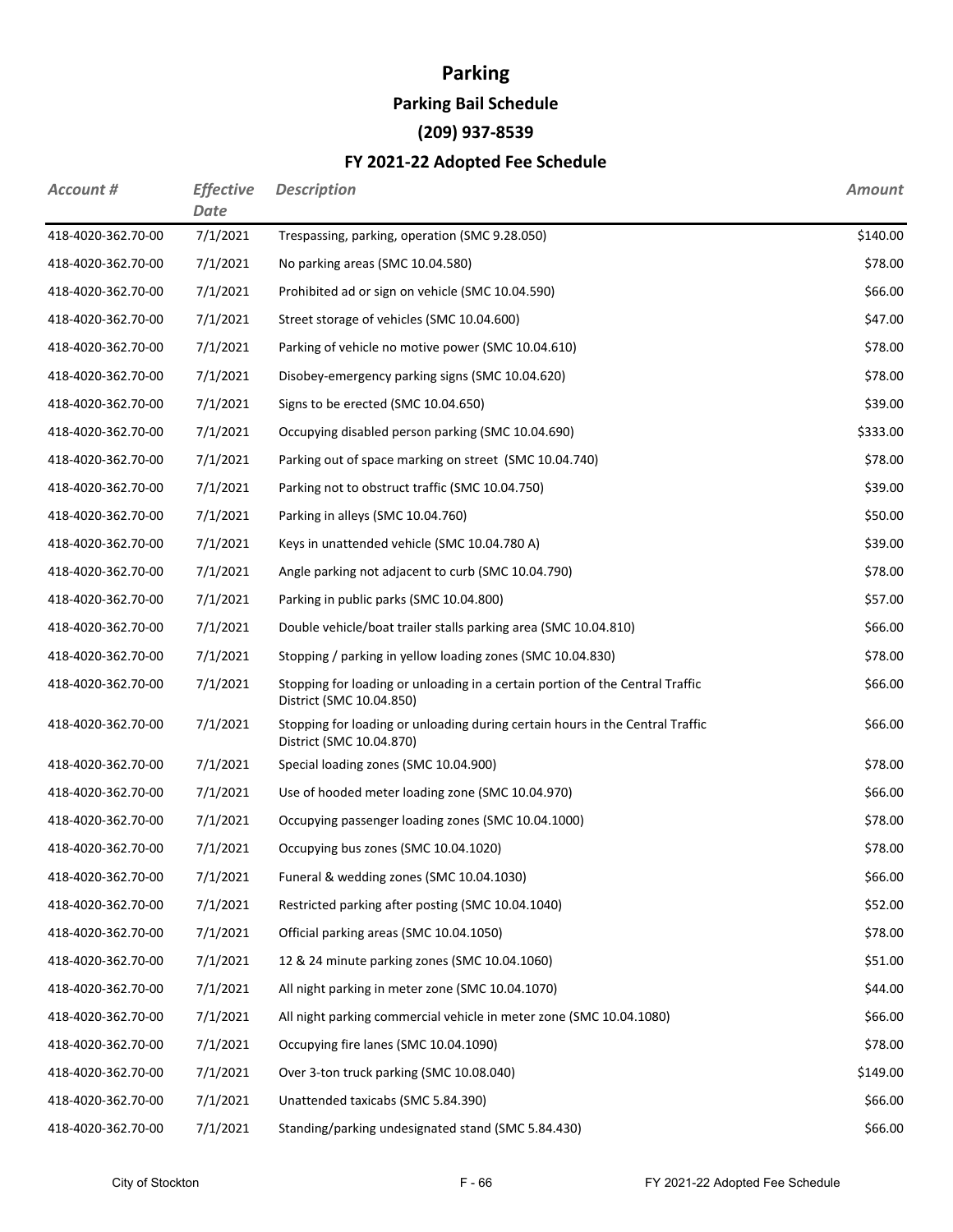## **Parking Parking Bail Schedule (209) 937-8539**

### **FY 2021-22 Adopted Fee Schedule**

| Account #          | <b>Effective</b><br>Date | <b>Description</b>                                                                                        | <b>Amount</b> |
|--------------------|--------------------------|-----------------------------------------------------------------------------------------------------------|---------------|
| 418-4020-362.70-00 | 7/1/2021                 | Trespassing, parking, operation (SMC 9.28.050)                                                            | \$140.00      |
| 418-4020-362.70-00 | 7/1/2021                 | No parking areas (SMC 10.04.580)                                                                          | \$78.00       |
| 418-4020-362.70-00 | 7/1/2021                 | Prohibited ad or sign on vehicle (SMC 10.04.590)                                                          | \$66.00       |
| 418-4020-362.70-00 | 7/1/2021                 | Street storage of vehicles (SMC 10.04.600)                                                                | \$47.00       |
| 418-4020-362.70-00 | 7/1/2021                 | Parking of vehicle no motive power (SMC 10.04.610)                                                        | \$78.00       |
| 418-4020-362.70-00 | 7/1/2021                 | Disobey-emergency parking signs (SMC 10.04.620)                                                           | \$78.00       |
| 418-4020-362.70-00 | 7/1/2021                 | Signs to be erected (SMC 10.04.650)                                                                       | \$39.00       |
| 418-4020-362.70-00 | 7/1/2021                 | Occupying disabled person parking (SMC 10.04.690)                                                         | \$333.00      |
| 418-4020-362.70-00 | 7/1/2021                 | Parking out of space marking on street (SMC 10.04.740)                                                    | \$78.00       |
| 418-4020-362.70-00 | 7/1/2021                 | Parking not to obstruct traffic (SMC 10.04.750)                                                           | \$39.00       |
| 418-4020-362.70-00 | 7/1/2021                 | Parking in alleys (SMC 10.04.760)                                                                         | \$50.00       |
| 418-4020-362.70-00 | 7/1/2021                 | Keys in unattended vehicle (SMC 10.04.780 A)                                                              | \$39.00       |
| 418-4020-362.70-00 | 7/1/2021                 | Angle parking not adjacent to curb (SMC 10.04.790)                                                        | \$78.00       |
| 418-4020-362.70-00 | 7/1/2021                 | Parking in public parks (SMC 10.04.800)                                                                   | \$57.00       |
| 418-4020-362.70-00 | 7/1/2021                 | Double vehicle/boat trailer stalls parking area (SMC 10.04.810)                                           | \$66.00       |
| 418-4020-362.70-00 | 7/1/2021                 | Stopping / parking in yellow loading zones (SMC 10.04.830)                                                | \$78.00       |
| 418-4020-362.70-00 | 7/1/2021                 | Stopping for loading or unloading in a certain portion of the Central Traffic<br>District (SMC 10.04.850) | \$66.00       |
| 418-4020-362.70-00 | 7/1/2021                 | Stopping for loading or unloading during certain hours in the Central Traffic<br>District (SMC 10.04.870) | \$66.00       |
| 418-4020-362.70-00 | 7/1/2021                 | Special loading zones (SMC 10.04.900)                                                                     | \$78.00       |
| 418-4020-362.70-00 | 7/1/2021                 | Use of hooded meter loading zone (SMC 10.04.970)                                                          | \$66.00       |
| 418-4020-362.70-00 | 7/1/2021                 | Occupying passenger loading zones (SMC 10.04.1000)                                                        | \$78.00       |
| 418-4020-362.70-00 | 7/1/2021                 | Occupying bus zones (SMC 10.04.1020)                                                                      | \$78.00       |
| 418-4020-362.70-00 | 7/1/2021                 | Funeral & wedding zones (SMC 10.04.1030)                                                                  | \$66.00       |
| 418-4020-362.70-00 | 7/1/2021                 | Restricted parking after posting (SMC 10.04.1040)                                                         | \$52.00       |
| 418-4020-362.70-00 | 7/1/2021                 | Official parking areas (SMC 10.04.1050)                                                                   | \$78.00       |
| 418-4020-362.70-00 | 7/1/2021                 | 12 & 24 minute parking zones (SMC 10.04.1060)                                                             | \$51.00       |
| 418-4020-362.70-00 | 7/1/2021                 | All night parking in meter zone (SMC 10.04.1070)                                                          | \$44.00       |
| 418-4020-362.70-00 | 7/1/2021                 | All night parking commercial vehicle in meter zone (SMC 10.04.1080)                                       | \$66.00       |
| 418-4020-362.70-00 | 7/1/2021                 | Occupying fire lanes (SMC 10.04.1090)                                                                     | \$78.00       |
| 418-4020-362.70-00 | 7/1/2021                 | Over 3-ton truck parking (SMC 10.08.040)                                                                  | \$149.00      |
| 418-4020-362.70-00 | 7/1/2021                 | Unattended taxicabs (SMC 5.84.390)                                                                        | \$66.00       |
| 418-4020-362.70-00 | 7/1/2021                 | Standing/parking undesignated stand (SMC 5.84.430)                                                        | \$66.00       |